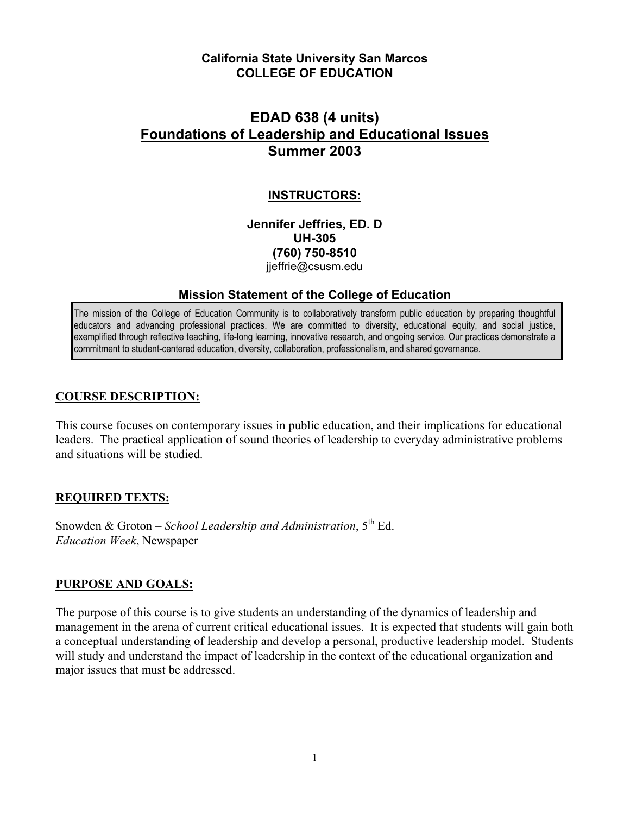#### **California State University San Marcos COLLEGE OF EDUCATION**

## **EDAD 638 (4 units) Foundations of Leadership and Educational Issues Summer 2003**

#### **INSTRUCTORS:**

**Jennifer Jeffries, ED. D UH-305 (760) 750-8510**  jieffrie@csusm.edu

#### **Mission Statement of the College of Education**

The mission of the College of Education Community is to collaboratively transform public education by preparing thoughtful educators and advancing professional practices. We are committed to diversity, educational equity, and social justice, exemplified through reflective teaching, life-long learning, innovative research, and ongoing service. Our practices demonstrate a commitment to student-centered education, diversity, collaboration, professionalism, and shared governance.

#### **COURSE DESCRIPTION:**

This course focuses on contemporary issues in public education, and their implications for educational leaders. The practical application of sound theories of leadership to everyday administrative problems and situations will be studied.

#### **REQUIRED TEXTS:**

Snowden & Groton – *School Leadership and Administration*, 5th Ed. *Education Week*, Newspaper

#### **PURPOSE AND GOALS:**

The purpose of this course is to give students an understanding of the dynamics of leadership and management in the arena of current critical educational issues. It is expected that students will gain both a conceptual understanding of leadership and develop a personal, productive leadership model. Students will study and understand the impact of leadership in the context of the educational organization and major issues that must be addressed.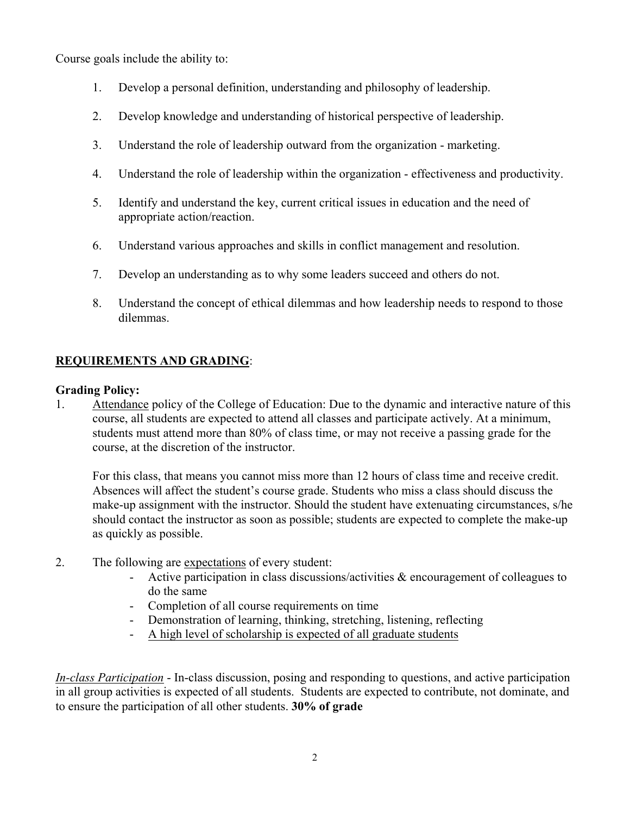Course goals include the ability to:

- 1. Develop a personal definition, understanding and philosophy of leadership.
- 2. Develop knowledge and understanding of historical perspective of leadership.
- 3. Understand the role of leadership outward from the organization marketing.
- 4. Understand the role of leadership within the organization effectiveness and productivity.
- 5. Identify and understand the key, current critical issues in education and the need of appropriate action/reaction.
- 6. Understand various approaches and skills in conflict management and resolution.
- 7. Develop an understanding as to why some leaders succeed and others do not.
- 8. Understand the concept of ethical dilemmas and how leadership needs to respond to those dilemmas.

## **REQUIREMENTS AND GRADING**:

#### **Grading Policy:**

1. Attendance policy of the College of Education: Due to the dynamic and interactive nature of this course, all students are expected to attend all classes and participate actively. At a minimum, students must attend more than 80% of class time, or may not receive a passing grade for the course, at the discretion of the instructor.

For this class, that means you cannot miss more than 12 hours of class time and receive credit. Absences will affect the student's course grade. Students who miss a class should discuss the make-up assignment with the instructor. Should the student have extenuating circumstances, s/he should contact the instructor as soon as possible; students are expected to complete the make-up as quickly as possible.

- 2. The following are expectations of every student:
	- Active participation in class discussions/activities & encouragement of colleagues to do the same
	- Completion of all course requirements on time
	- Demonstration of learning, thinking, stretching, listening, reflecting
	- A high level of scholarship is expected of all graduate students

*In-class Participation* - In-class discussion, posing and responding to questions, and active participation in all group activities is expected of all students. Students are expected to contribute, not dominate, and to ensure the participation of all other students. **30% of grade**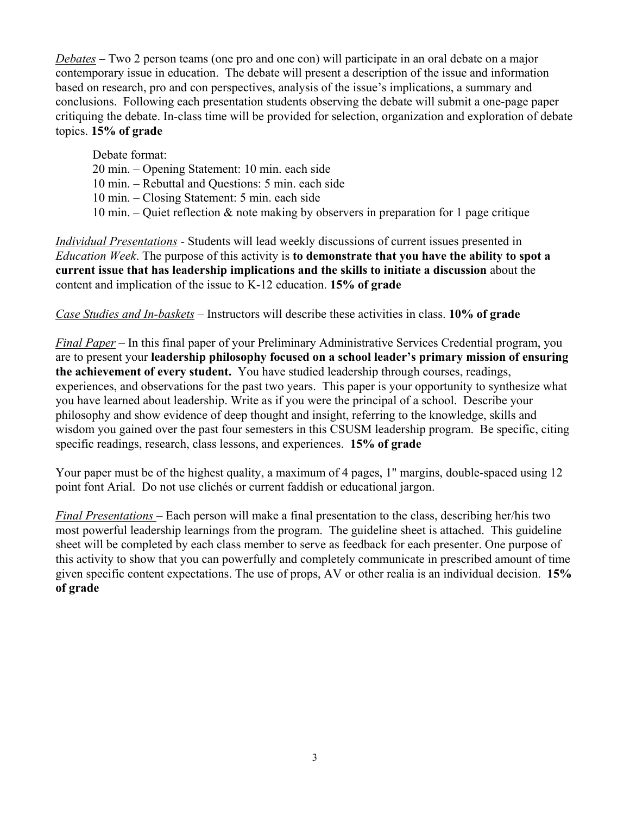*Debates* – Two 2 person teams (one pro and one con) will participate in an oral debate on a major contemporary issue in education. The debate will present a description of the issue and information based on research, pro and con perspectives, analysis of the issue's implications, a summary and conclusions. Following each presentation students observing the debate will submit a one-page paper critiquing the debate. In-class time will be provided for selection, organization and exploration of debate topics. **15% of grade** 

Debate format:

- 20 min. Opening Statement: 10 min. each side
- 10 min. Rebuttal and Questions: 5 min. each side
- 10 min. Closing Statement: 5 min. each side
- 10 min. Quiet reflection  $\&$  note making by observers in preparation for 1 page critique

*Individual Presentations* - Students will lead weekly discussions of current issues presented in *Education Week*. The purpose of this activity is **to demonstrate that you have the ability to spot a current issue that has leadership implications and the skills to initiate a discussion** about the content and implication of the issue to K-12 education. **15% of grade**

## *Case Studies and In-baskets* – Instructors will describe these activities in class. **10% of grade**

*Final Paper* – In this final paper of your Preliminary Administrative Services Credential program, you are to present your **leadership philosophy focused on a school leader's primary mission of ensuring the achievement of every student.** You have studied leadership through courses, readings, experiences, and observations for the past two years. This paper is your opportunity to synthesize what you have learned about leadership. Write as if you were the principal of a school. Describe your philosophy and show evidence of deep thought and insight, referring to the knowledge, skills and wisdom you gained over the past four semesters in this CSUSM leadership program. Be specific, citing specific readings, research, class lessons, and experiences. **15% of grade** 

Your paper must be of the highest quality, a maximum of 4 pages, 1" margins, double-spaced using 12 point font Arial. Do not use clichés or current faddish or educational jargon.

*Final Presentations* – Each person will make a final presentation to the class, describing her/his two most powerful leadership learnings from the program. The guideline sheet is attached. This guideline sheet will be completed by each class member to serve as feedback for each presenter. One purpose of this activity to show that you can powerfully and completely communicate in prescribed amount of time given specific content expectations. The use of props, AV or other realia is an individual decision. **15% of grade**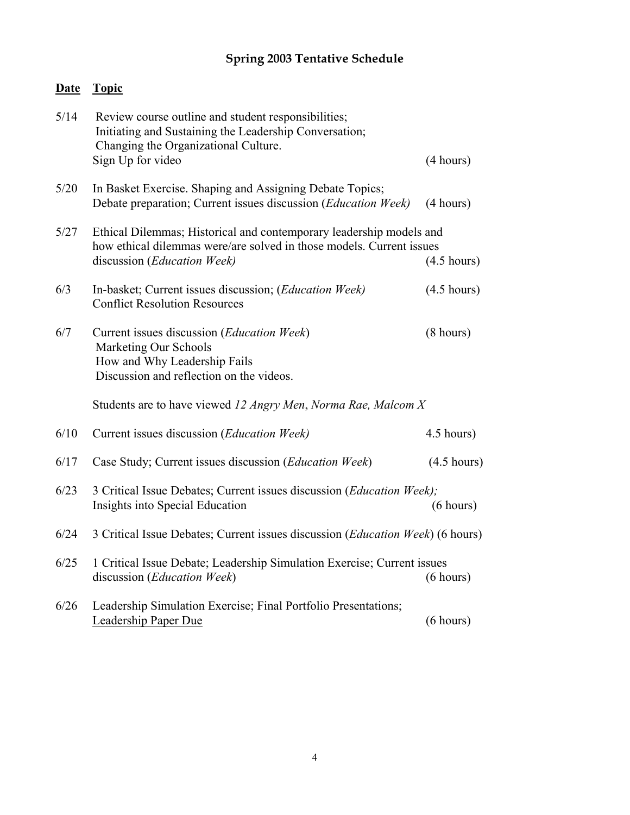# **Spring 2003 Tentative Schedule**

## **Date Topic**

| 5/14 | Review course outline and student responsibilities;<br>Initiating and Sustaining the Leadership Conversation;<br>Changing the Organizational Culture.                                               |                       |
|------|-----------------------------------------------------------------------------------------------------------------------------------------------------------------------------------------------------|-----------------------|
|      | Sign Up for video                                                                                                                                                                                   | (4 hours)             |
| 5/20 | In Basket Exercise. Shaping and Assigning Debate Topics;<br>Debate preparation; Current issues discussion (Education Week)                                                                          | (4 hours)             |
| 5/27 | Ethical Dilemmas; Historical and contemporary leadership models and<br>how ethical dilemmas were/are solved in those models. Current issues<br>discussion (Education Week)<br>$(4.5 \text{ hours})$ |                       |
| 6/3  | In-basket; Current issues discussion; (Education Week)<br><b>Conflict Resolution Resources</b>                                                                                                      | $(4.5 \text{ hours})$ |
| 6/7  | Current issues discussion (Education Week)<br>Marketing Our Schools<br>How and Why Leadership Fails<br>Discussion and reflection on the videos.                                                     | $(8 \text{ hours})$   |
|      | Students are to have viewed 12 Angry Men, Norma Rae, Malcom X                                                                                                                                       |                       |
| 6/10 | Current issues discussion (Education Week)                                                                                                                                                          | 4.5 hours)            |
| 6/17 | Case Study; Current issues discussion ( <i>Education Week</i> )                                                                                                                                     | $(4.5 \text{ hours})$ |
| 6/23 | 3 Critical Issue Debates; Current issues discussion (Education Week);<br>Insights into Special Education                                                                                            | (6 hours)             |
| 6/24 | 3 Critical Issue Debates; Current issues discussion ( <i>Education Week</i> ) (6 hours)                                                                                                             |                       |
| 6/25 | 1 Critical Issue Debate; Leadership Simulation Exercise; Current issues<br>discussion (Education Week)                                                                                              | (6 hours)             |
| 6/26 | Leadership Simulation Exercise; Final Portfolio Presentations;<br><b>Leadership Paper Due</b>                                                                                                       | (6 hours)             |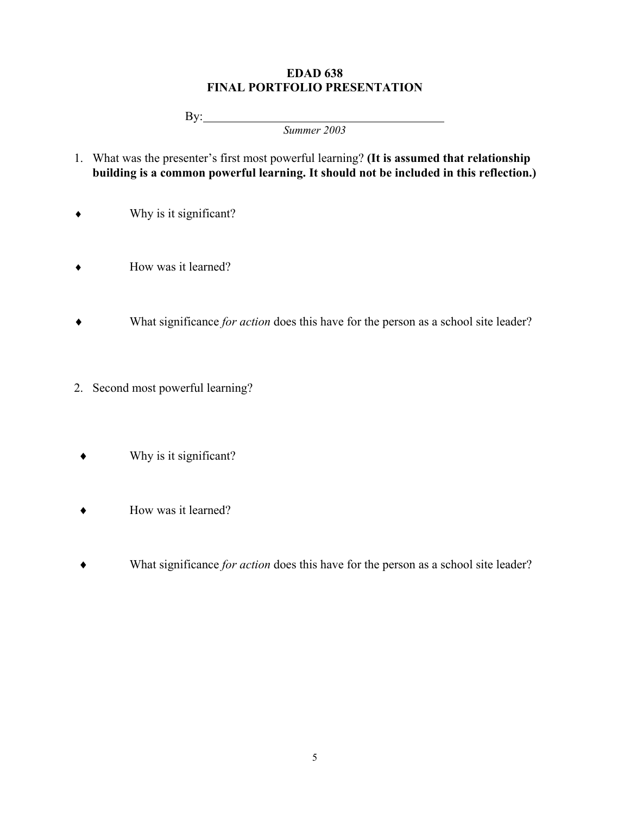#### **EDAD 638 FINAL PORTFOLIO PRESENTATION**

By:

*Summer 2003* 

- 1. What was the presenter's first most powerful learning? **(It is assumed that relationship building is a common powerful learning. It should not be included in this reflection.)**
- ♦ Why is it significant?
- ♦ How was it learned?
- ♦ What significance *for action* does this have for the person as a school site leader?
- 2. Second most powerful learning?
	- ♦ Why is it significant?
	- ♦ How was it learned?
	- ♦ What significance *for action* does this have for the person as a school site leader?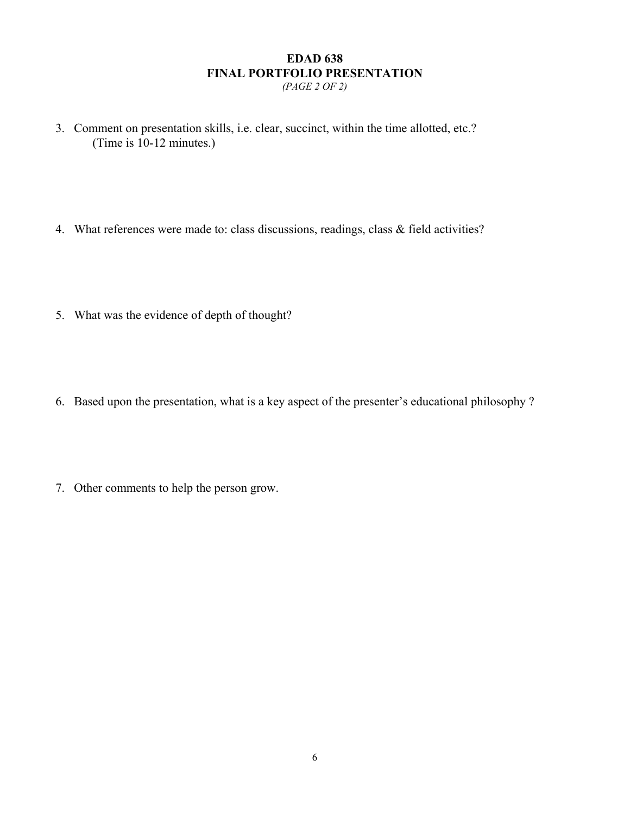# **EDAD 638 FINAL PORTFOLIO PRESENTATION**

- *(PAGE 2 OF 2)*
- 3. Comment on presentation skills, i.e. clear, succinct, within the time allotted, etc.? (Time is 10-12 minutes.)
- 4. What references were made to: class discussions, readings, class & field activities?
- 5. What was the evidence of depth of thought?
- 6. Based upon the presentation, what is a key aspect of the presenter's educational philosophy ?
- 7. Other comments to help the person grow.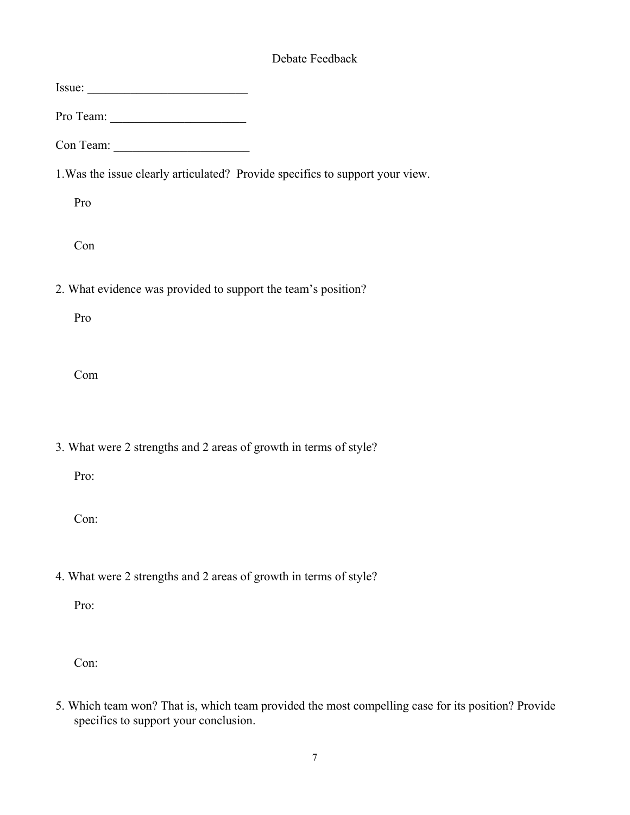## Debate Feedback

- Con:
- 5. Which team won? That is, which team provided the most compelling case for its position? Provide specifics to support your conclusion.